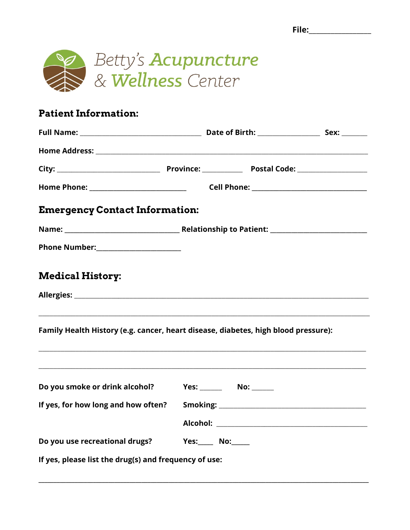

### **Patient Information:**

| <b>Emergency Contact Information:</b>                                              |  |
|------------------------------------------------------------------------------------|--|
|                                                                                    |  |
|                                                                                    |  |
| <b>Medical History:</b>                                                            |  |
|                                                                                    |  |
| Family Health History (e.g. cancer, heart disease, diabetes, high blood pressure): |  |
| Do you smoke or drink alcohol?                                                     |  |
| If yes, for how long and how often? Smoking: ___________________________________   |  |
|                                                                                    |  |
| Do you use recreational drugs? Yes: No: No:                                        |  |
| If yes, please list the drug(s) and frequency of use:                              |  |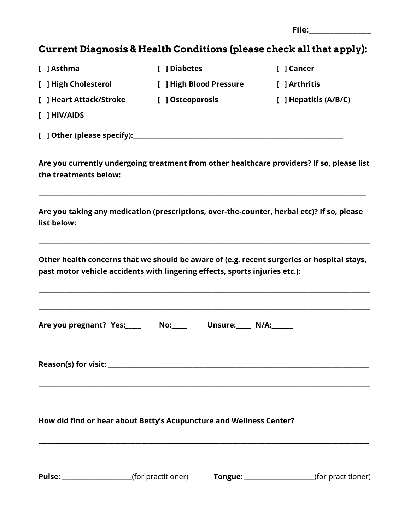| --<br>៶●<br>∼-<br><br>$ -$ |  |
|----------------------------|--|
|                            |  |

# Current Diagnosis & Health Conditions (please check all that apply):

| [ ] Asthma                                                                  | [ ] Diabetes     |                         | [ ] Cancer                                                                                                |  |
|-----------------------------------------------------------------------------|------------------|-------------------------|-----------------------------------------------------------------------------------------------------------|--|
| [ ] High Cholesterol                                                        |                  | [ ] High Blood Pressure | [ ] Arthritis                                                                                             |  |
| [ ] Heart Attack/Stroke                                                     | [ ] Osteoporosis |                         | [ ] Hepatitis (A/B/C)                                                                                     |  |
| $[$ ] HIV/AIDS                                                              |                  |                         |                                                                                                           |  |
|                                                                             |                  |                         |                                                                                                           |  |
|                                                                             |                  |                         | Are you currently undergoing treatment from other healthcare providers? If so, please list                |  |
|                                                                             |                  |                         | Are you taking any medication (prescriptions, over-the-counter, herbal etc)? If so, please                |  |
| past motor vehicle accidents with lingering effects, sports injuries etc.): |                  |                         | Other health concerns that we should be aware of (e.g. recent surgeries or hospital stays,                |  |
| Are you pregnant? Yes:___________ No:____________ Unsure:______ N/A:_______ |                  |                         |                                                                                                           |  |
|                                                                             |                  |                         |                                                                                                           |  |
| How did find or hear about Betty's Acupuncture and Wellness Center?         |                  |                         |                                                                                                           |  |
|                                                                             |                  |                         | <b>Pulse:</b> _____________________(for practitioner) <b>Tongue:</b> __________________(for practitioner) |  |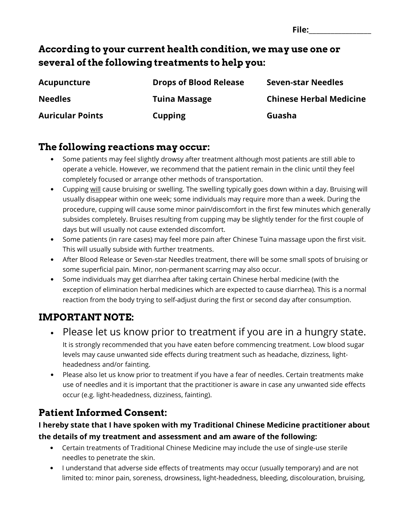| --<br>-- |  |
|----------|--|
|          |  |

### According to your current health condition, we may use one or several of the following treatments to help you:

| Acupuncture             | <b>Drops of Blood Release</b> | <b>Seven-star Needles</b>      |
|-------------------------|-------------------------------|--------------------------------|
| <b>Needles</b>          | <b>Tuina Massage</b>          | <b>Chinese Herbal Medicine</b> |
| <b>Auricular Points</b> | <b>Cupping</b>                | Guasha                         |

### The following reactions may occur:

- Some patients may feel slightly drowsy after treatment although most patients are still able to operate a vehicle. However, we recommend that the patient remain in the clinic until they feel completely focused or arrange other methods of transportation.
- Cupping will cause bruising or swelling. The swelling typically goes down within a day. Bruising will usually disappear within one week; some individuals may require more than a week. During the procedure, cupping will cause some minor pain/discomfort in the first few minutes which generally subsides completely. Bruises resulting from cupping may be slightly tender for the first couple of days but will usually not cause extended discomfort.
- Some patients (in rare cases) may feel more pain after Chinese Tuina massage upon the first visit. This will usually subside with further treatments.
- After Blood Release or Seven-star Needles treatment, there will be some small spots of bruising or some superficial pain. Minor, non-permanent scarring may also occur.
- Some individuals may get diarrhea after taking certain Chinese herbal medicine (with the exception of elimination herbal medicines which are expected to cause diarrhea). This is a normal reaction from the body trying to self-adjust during the first or second day after consumption.

## IMPORTANT NOTE:

- Please let us know prior to treatment if you are in a hungry state. It is strongly recommended that you have eaten before commencing treatment. Low blood sugar levels may cause unwanted side effects during treatment such as headache, dizziness, lightheadedness and/or fainting.
- Please also let us know prior to treatment if you have a fear of needles. Certain treatments make use of needles and it is important that the practitioner is aware in case any unwanted side effects occur (e.g. light-headedness, dizziness, fainting).

### Patient Informed Consent:

#### I hereby state that I have spoken with my Traditional Chinese Medicine practitioner about the details of my treatment and assessment and am aware of the following:

- Certain treatments of Traditional Chinese Medicine may include the use of single-use sterile needles to penetrate the skin.
- I understand that adverse side effects of treatments may occur (usually temporary) and are not limited to: minor pain, soreness, drowsiness, light-headedness, bleeding, discolouration, bruising,